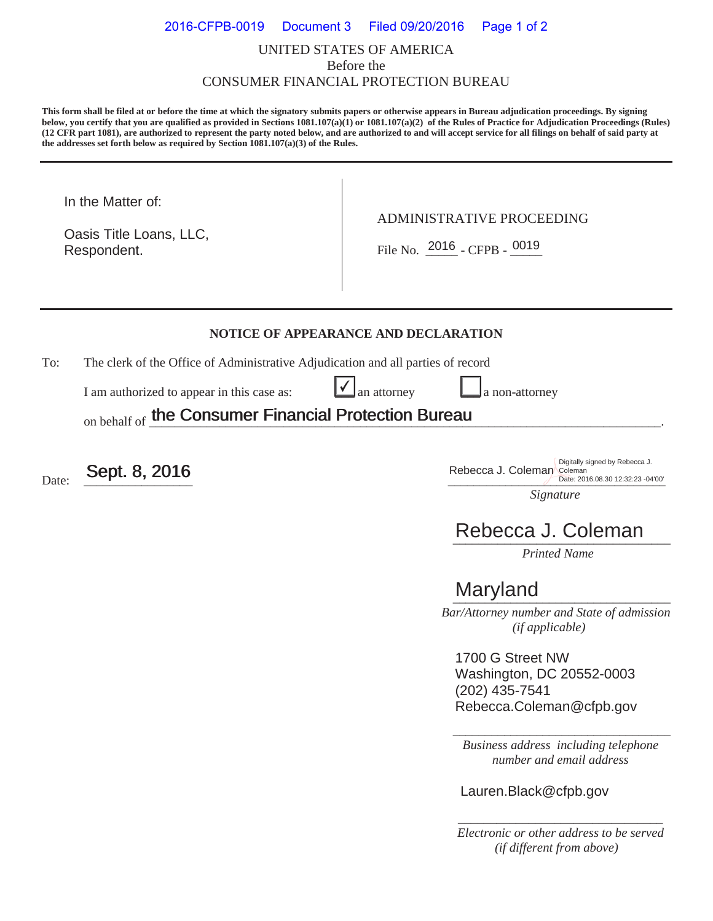### UNITED STATES OF AMERICA Before the CONSUMER FINANCIAL PROTECTION BUREAU 2016-CFPB-0019 Document 3 Filed 09/20/2016 Page 1 of 2

**This form shall be filed at or before the time at which the signatory submits papers or otherwise appears in Bureau adjudication proceedings. By signing below, you certify that you are qualified as provided in Sections 1081.107(a)(1) or 1081.107(a)(2) of the Rules of Practice for Adjudication Proceedings (Rules) (12 CFR part 1081), are authorized to represent the party noted below, and are authorized to and will accept service for all filings on behalf of said party at the addresses set forth below as required by Section 1081.107(a)(3) of the Rules.** 

In the Matter of:

Respondent. Oasis Title Loans, LLC, ADMINISTRATIVE PROCEEDING

Respondent.  $\begin{array}{|c|c|c|c|c|}\n\hline\n\text{File No.} & \text{2016 } - \text{CFPB -} & \text{0019}\n\end{array}$ 

#### **NOTICE OF APPEARANCE AND DECLARATION**

 $\checkmark$ 

To: The clerk of the Office of Administrative Adjudication and all parties of record

I am authorized to appear in this case as:  $\Box$  an attorney  $\Box$  a non-attorney

on behalf of the Consumer Financial Protection Bureau the Consumer Financial Protection Bureau

Date:  $\frac{\text{Sept. 8, 2016}}{\text{Date: }2016.08.3012:32.23-04'00'}}$ Date: 2016.08.30 12:32:23 -04'00'

*Signature* 

# Rebecca J. Coleman

*Printed Name* 

## \_\_\_\_\_\_\_\_\_\_\_\_\_\_\_\_\_\_\_\_\_\_\_\_\_\_\_\_\_\_\_\_\_\_ Maryland

 *Bar/Attorney number and State of admission (if applicable)*

1700 G Street NW Washington, DC 20552-0003 (202) 435-7541 Rebecca.Coleman@cfpb.gov

\_\_\_\_\_\_\_\_\_\_\_\_\_\_\_\_\_\_\_\_\_\_\_\_\_\_\_\_\_\_\_\_\_\_ *Business address including telephone number and email address* 

Lauren.Black@cfpb.gov

*\_\_\_\_\_\_\_\_\_\_\_\_\_\_\_\_\_\_\_\_\_\_\_\_\_\_\_\_\_\_\_\_ Electronic or other address to be served (if different from above)*